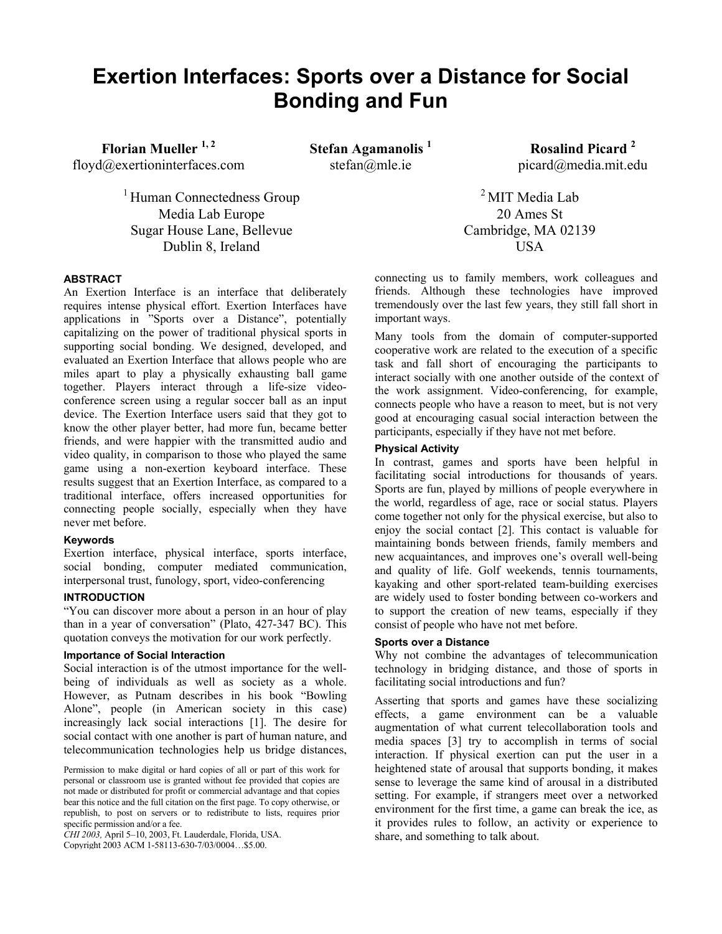# **Exertion Interfaces: Sports over a Distance for Social Bonding and Fun**

**Florian Mueller 1, 2**  [floyd@exertioninterfaces.com](mailto:floyd@floydmueller.com) **Stefan Agamanolis 1**  [stefan@mle.ie](mailto:stefan@mle.ie)

**Rosalind Picard <sup>2</sup>** picard@media.mit.edu

<sup>1</sup> Human Connectedness Group Media Lab Europe Sugar House Lane, Bellevue Dublin 8, Ireland

#### **ABSTRACT**

An Exertion Interface is an interface that deliberately requires intense physical effort. Exertion Interfaces have applications in "Sports over a Distance", potentially capitalizing on the power of traditional physical sports in supporting social bonding. We designed, developed, and evaluated an Exertion Interface that allows people who are miles apart to play a physically exhausting ball game together. Players interact through a life-size videoconference screen using a regular soccer ball as an input device. The Exertion Interface users said that they got to know the other player better, had more fun, became better friends, and were happier with the transmitted audio and video quality, in comparison to those who played the same game using a non-exertion keyboard interface. These results suggest that an Exertion Interface, as compared to a traditional interface, offers increased opportunities for connecting people socially, especially when they have never met before.

#### **Keywords**

Exertion interface, physical interface, sports interface, social bonding, computer mediated communication, interpersonal trust, funology, sport, video-conferencing

#### **INTRODUCTION**

"You can discover more about a person in an hour of play than in a year of conversation" (Plato, 427-347 BC). This quotation conveys the motivation for our work perfectly.

#### **Importance of Social Interaction**

Social interaction is of the utmost importance for the wellbeing of individuals as well as society as a whole. However, as Putnam describes in his book "Bowling Alone", people (in American society in this case) increasingly lack social interactions [1]. The desire for social contact with one another is part of human nature, and telecommunication technologies help us bridge distances,

*CHI 2003,* April 5–10, 2003, Ft. Lauderdale, Florida, USA.

Copyright 2003 ACM 1-58113-630-7/03/0004…\$5.00.

2 MIT Media Lab 20 Ames St Cambridge, MA 02139 **USA** 

connecting us to family members, work colleagues and friends. Although these technologies have improved tremendously over the last few years, they still fall short in important ways.

Many tools from the domain of computer-supported cooperative work are related to the execution of a specific task and fall short of encouraging the participants to interact socially with one another outside of the context of the work assignment. Video-conferencing, for example, connects people who have a reason to meet, but is not very good at encouraging casual social interaction between the participants, especially if they have not met before.

#### **Physical Activity**

In contrast, games and sports have been helpful in facilitating social introductions for thousands of years. Sports are fun, played by millions of people everywhere in the world, regardless of age, race or social status. Players come together not only for the physical exercise, but also to enjoy the social contact [2]. This contact is valuable for maintaining bonds between friends, family members and new acquaintances, and improves one's overall well-being and quality of life. Golf weekends, tennis tournaments, kayaking and other sport-related team-building exercises are widely used to foster bonding between co-workers and to support the creation of new teams, especially if they consist of people who have not met before.

#### **Sports over a Distance**

Why not combine the advantages of telecommunication technology in bridging distance, and those of sports in facilitating social introductions and fun?

Asserting that sports and games have these socializing effects, a game environment can be a valuable augmentation of what current telecollaboration tools and media spaces [3] try to accomplish in terms of social interaction. If physical exertion can put the user in a heightened state of arousal that supports bonding, it makes sense to leverage the same kind of arousal in a distributed setting. For example, if strangers meet over a networked environment for the first time, a game can break the ice, as it provides rules to follow, an activity or experience to share, and something to talk about.

Permission to make digital or hard copies of all or part of this work for personal or classroom use is granted without fee provided that copies are not made or distributed for profit or commercial advantage and that copies bear this notice and the full citation on the first page. To copy otherwise, or republish, to post on servers or to redistribute to lists, requires prior specific permission and/or a fee.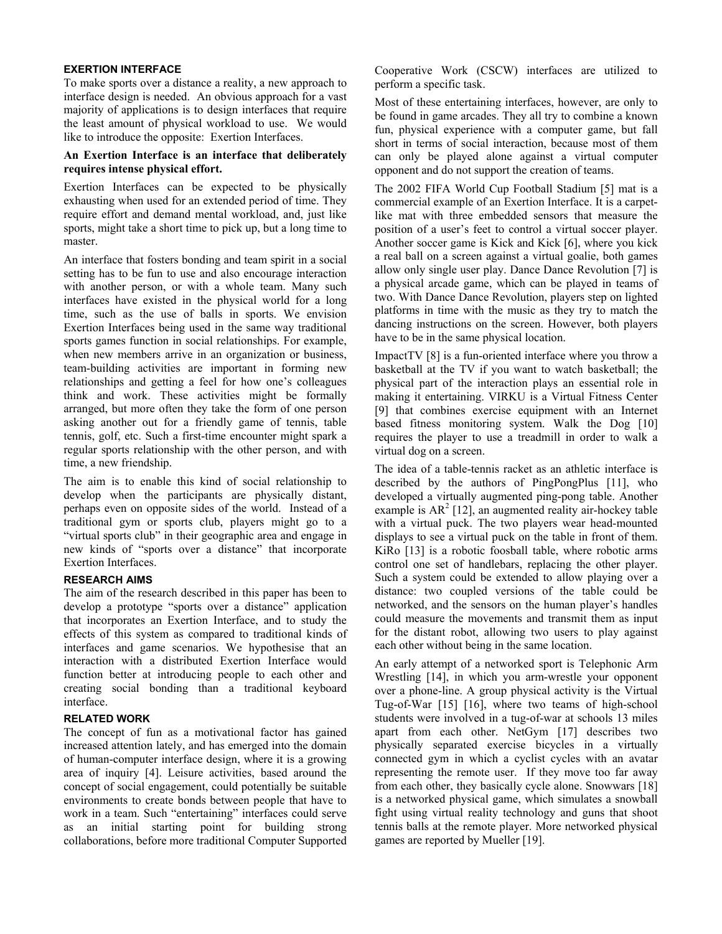#### **EXERTION INTERFACE**

To make sports over a distance a reality, a new approach to interface design is needed. An obvious approach for a vast majority of applications is to design interfaces that require the least amount of physical workload to use. We would like to introduce the opposite: Exertion Interfaces.

# **An Exertion Interface is an interface that deliberately requires intense physical effort.**

Exertion Interfaces can be expected to be physically exhausting when used for an extended period of time. They require effort and demand mental workload, and, just like sports, might take a short time to pick up, but a long time to master.

An interface that fosters bonding and team spirit in a social setting has to be fun to use and also encourage interaction with another person, or with a whole team. Many such interfaces have existed in the physical world for a long time, such as the use of balls in sports. We envision Exertion Interfaces being used in the same way traditional sports games function in social relationships. For example, when new members arrive in an organization or business, team-building activities are important in forming new relationships and getting a feel for how one's colleagues think and work. These activities might be formally arranged, but more often they take the form of one person asking another out for a friendly game of tennis, table tennis, golf, etc. Such a first-time encounter might spark a regular sports relationship with the other person, and with time, a new friendship.

The aim is to enable this kind of social relationship to develop when the participants are physically distant, perhaps even on opposite sides of the world. Instead of a traditional gym or sports club, players might go to a "virtual sports club" in their geographic area and engage in new kinds of "sports over a distance" that incorporate Exertion Interfaces.

#### **RESEARCH AIMS**

The aim of the research described in this paper has been to develop a prototype "sports over a distance" application that incorporates an Exertion Interface, and to study the effects of this system as compared to traditional kinds of interfaces and game scenarios. We hypothesise that an interaction with a distributed Exertion Interface would function better at introducing people to each other and creating social bonding than a traditional keyboard interface.

#### **RELATED WORK**

The concept of fun as a motivational factor has gained increased attention lately, and has emerged into the domain of human-computer interface design, where it is a growing area of inquiry [4]. Leisure activities, based around the concept of social engagement, could potentially be suitable environments to create bonds between people that have to work in a team. Such "entertaining" interfaces could serve as an initial starting point for building strong collaborations, before more traditional Computer Supported Cooperative Work (CSCW) interfaces are utilized to perform a specific task.

Most of these entertaining interfaces, however, are only to be found in game arcades. They all try to combine a known fun, physical experience with a computer game, but fall short in terms of social interaction, because most of them can only be played alone against a virtual computer opponent and do not support the creation of teams.

The 2002 FIFA World Cup Football Stadium [5] mat is a commercial example of an Exertion Interface. It is a carpetlike mat with three embedded sensors that measure the position of a user's feet to control a virtual soccer player. Another soccer game is Kick and Kick [6], where you kick a real ball on a screen against a virtual goalie, both games allow only single user play. Dance Dance Revolution [7] is a physical arcade game, which can be played in teams of two. With Dance Dance Revolution, players step on lighted platforms in time with the music as they try to match the dancing instructions on the screen. However, both players have to be in the same physical location.

ImpactTV [8] is a fun-oriented interface where you throw a basketball at the TV if you want to watch basketball; the physical part of the interaction plays an essential role in making it entertaining. VIRKU is a Virtual Fitness Center [9] that combines exercise equipment with an Internet based fitness monitoring system. Walk the Dog [10] requires the player to use a treadmill in order to walk a virtual dog on a screen.

The idea of a table-tennis racket as an athletic interface is described by the authors of PingPongPlus [11], who developed a virtually augmented ping-pong table. Another example is  $AR^2$  [12], an augmented reality air-hockey table with a virtual puck. The two players wear head-mounted displays to see a virtual puck on the table in front of them. KiRo [13] is a robotic foosball table, where robotic arms control one set of handlebars, replacing the other player. Such a system could be extended to allow playing over a distance: two coupled versions of the table could be networked, and the sensors on the human player's handles could measure the movements and transmit them as input for the distant robot, allowing two users to play against each other without being in the same location.

An early attempt of a networked sport is Telephonic Arm Wrestling [14], in which you arm-wrestle your opponent over a phone-line. A group physical activity is the Virtual Tug-of-War [15] [16], where two teams of high-school students were involved in a tug-of-war at schools 13 miles apart from each other. NetGym [17] describes two physically separated exercise bicycles in a virtually connected gym in which a cyclist cycles with an avatar representing the remote user. If they move too far away from each other, they basically cycle alone. Snowwars [18] is a networked physical game, which simulates a snowball fight using virtual reality technology and guns that shoot tennis balls at the remote player. More networked physical games are reported by Mueller [19].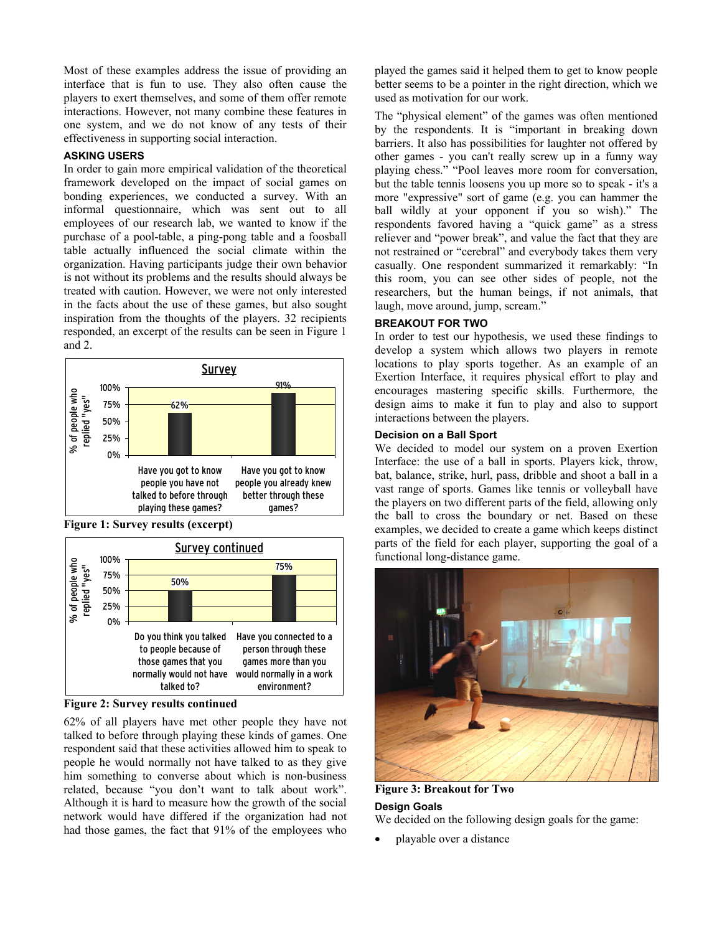Most of these examples address the issue of providing an interface that is fun to use. They also often cause the players to exert themselves, and some of them offer remote interactions. However, not many combine these features in one system, and we do not know of any tests of their effectiveness in supporting social interaction.

## **ASKING USERS**

In order to gain more empirical validation of the theoretical framework developed on the impact of social games on bonding experiences, we conducted a survey. With an informal questionnaire, which was sent out to all employees of our research lab, we wanted to know if the purchase of a pool-table, a ping-pong table and a foosball table actually influenced the social climate within the organization. Having participants judge their own behavior is not without its problems and the results should always be treated with caution. However, we were not only interested in the facts about the use of these games, but also sought inspiration from the thoughts of the players. 32 recipients responded, an excerpt of the results can be seen in Figure 1 and 2.







**Figure 2: Survey results continued** 

62% of all players have met other people they have not talked to before through playing these kinds of games. One respondent said that these activities allowed him to speak to people he would normally not have talked to as they give him something to converse about which is non-business related, because "you don't want to talk about work". Although it is hard to measure how the growth of the social network would have differed if the organization had not had those games, the fact that 91% of the employees who

played the games said it helped them to get to know people better seems to be a pointer in the right direction, which we used as motivation for our work.

The "physical element" of the games was often mentioned by the respondents. It is "important in breaking down barriers. It also has possibilities for laughter not offered by other games - you can't really screw up in a funny way playing chess." "Pool leaves more room for conversation, but the table tennis loosens you up more so to speak - it's a more "expressive" sort of game (e.g. you can hammer the ball wildly at your opponent if you so wish)." The respondents favored having a "quick game" as a stress reliever and "power break", and value the fact that they are not restrained or "cerebral" and everybody takes them very casually. One respondent summarized it remarkably: "In this room, you can see other sides of people, not the researchers, but the human beings, if not animals, that laugh, move around, jump, scream."

#### **BREAKOUT FOR TWO**

In order to test our hypothesis, we used these findings to develop a system which allows two players in remote locations to play sports together. As an example of an Exertion Interface, it requires physical effort to play and encourages mastering specific skills. Furthermore, the design aims to make it fun to play and also to support interactions between the players.

# **Decision on a Ball Sport**

We decided to model our system on a proven Exertion Interface: the use of a ball in sports. Players kick, throw, bat, balance, strike, hurl, pass, dribble and shoot a ball in a vast range of sports. Games like tennis or volleyball have the players on two different parts of the field, allowing only the ball to cross the boundary or net. Based on these examples, we decided to create a game which keeps distinct parts of the field for each player, supporting the goal of a functional long-distance game.



**Figure 3: Breakout for Two Design Goals**  We decided on the following design goals for the game:

• playable over a distance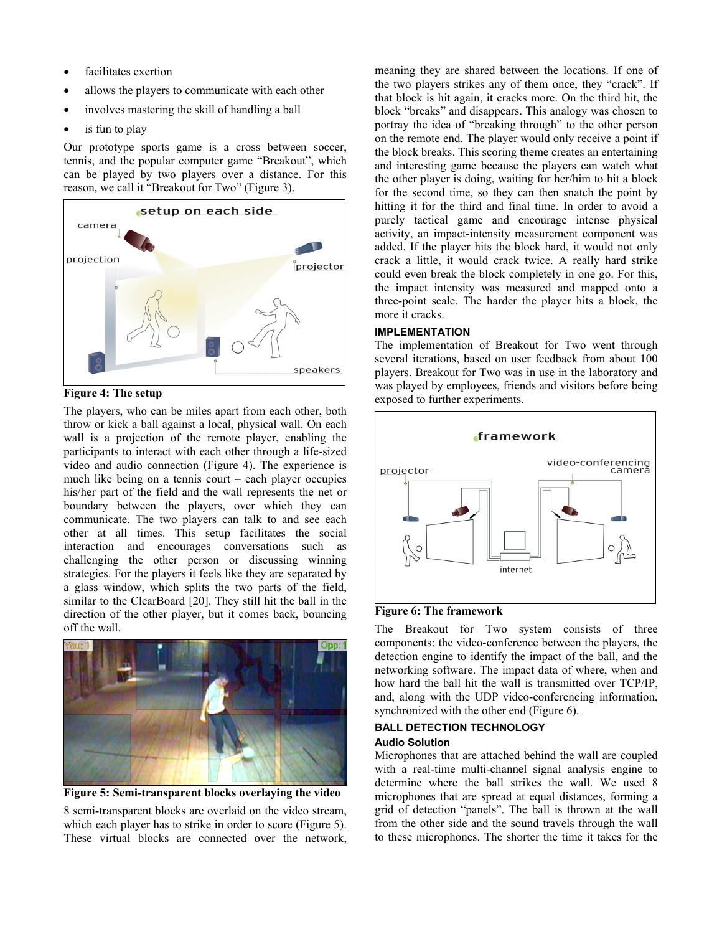- facilitates exertion
- allows the players to communicate with each other
- involves mastering the skill of handling a ball
- is fun to play

Our prototype sports game is a cross between soccer, tennis, and the popular computer game "Breakout", which can be played by two players over a distance. For this reason, we call it "Breakout for Two" (Figure 3).



**Figure 4: The setup** 

The players, who can be miles apart from each other, both throw or kick a ball against a local, physical wall. On each wall is a projection of the remote player, enabling the participants to interact with each other through a life-sized video and audio connection (Figure 4). The experience is much like being on a tennis court – each player occupies his/her part of the field and the wall represents the net or boundary between the players, over which they can communicate. The two players can talk to and see each other at all times. This setup facilitates the social interaction and encourages conversations such as challenging the other person or discussing winning strategies. For the players it feels like they are separated by a glass window, which splits the two parts of the field, similar to the ClearBoard [20]. They still hit the ball in the direction of the other player, but it comes back, bouncing off the wall.





8 semi-transparent blocks are overlaid on the video stream, which each player has to strike in order to score (Figure 5). These virtual blocks are connected over the network, meaning they are shared between the locations. If one of the two players strikes any of them once, they "crack". If that block is hit again, it cracks more. On the third hit, the block "breaks" and disappears. This analogy was chosen to portray the idea of "breaking through" to the other person on the remote end. The player would only receive a point if the block breaks. This scoring theme creates an entertaining and interesting game because the players can watch what the other player is doing, waiting for her/him to hit a block for the second time, so they can then snatch the point by hitting it for the third and final time. In order to avoid a purely tactical game and encourage intense physical activity, an impact-intensity measurement component was added. If the player hits the block hard, it would not only crack a little, it would crack twice. A really hard strike could even break the block completely in one go. For this, the impact intensity was measured and mapped onto a three-point scale. The harder the player hits a block, the more it cracks.

# **IMPLEMENTATION**

The implementation of Breakout for Two went through several iterations, based on user feedback from about 100 players. Breakout for Two was in use in the laboratory and was played by employees, friends and visitors before being exposed to further experiments.



# **Figure 6: The framework**

The Breakout for Two system consists of three components: the video-conference between the players, the detection engine to identify the impact of the ball, and the networking software. The impact data of where, when and how hard the ball hit the wall is transmitted over TCP/IP, and, along with the UDP video-conferencing information, synchronized with the other end (Figure 6).

# **BALL DETECTION TECHNOLOGY**

#### **Audio Solution**

Microphones that are attached behind the wall are coupled with a real-time multi-channel signal analysis engine to determine where the ball strikes the wall. We used 8 microphones that are spread at equal distances, forming a grid of detection "panels". The ball is thrown at the wall from the other side and the sound travels through the wall to these microphones. The shorter the time it takes for the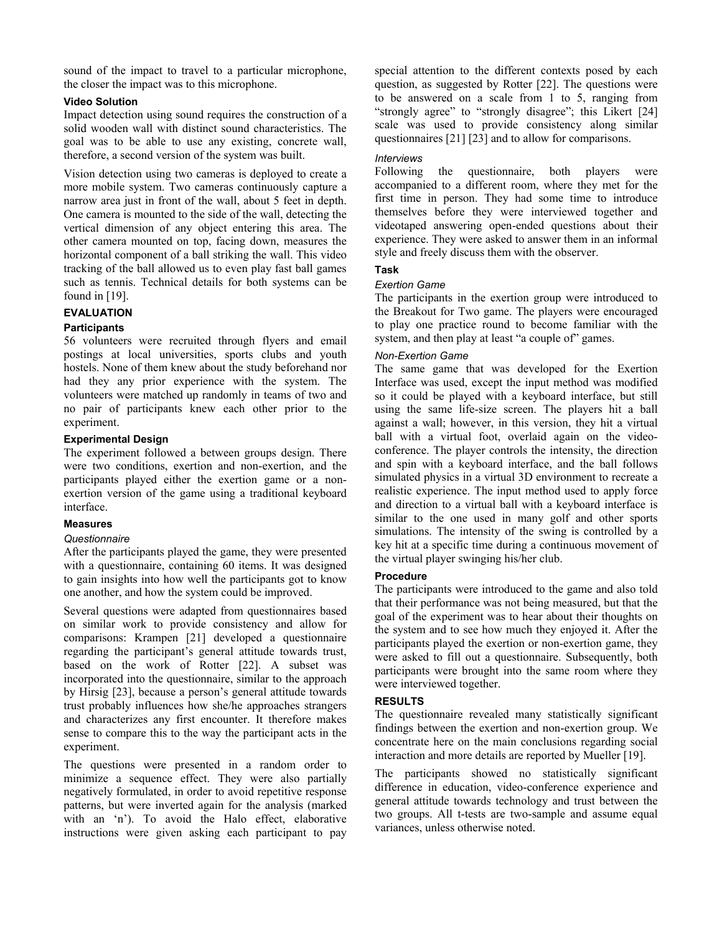sound of the impact to travel to a particular microphone, the closer the impact was to this microphone.

#### **Video Solution**

Impact detection using sound requires the construction of a solid wooden wall with distinct sound characteristics. The goal was to be able to use any existing, concrete wall, therefore, a second version of the system was built.

Vision detection using two cameras is deployed to create a more mobile system. Two cameras continuously capture a narrow area just in front of the wall, about 5 feet in depth. One camera is mounted to the side of the wall, detecting the vertical dimension of any object entering this area. The other camera mounted on top, facing down, measures the horizontal component of a ball striking the wall. This video tracking of the ball allowed us to even play fast ball games such as tennis. Technical details for both systems can be found in [19].

# **EVALUATION**

## **Participants**

56 volunteers were recruited through flyers and email postings at local universities, sports clubs and youth hostels. None of them knew about the study beforehand nor had they any prior experience with the system. The volunteers were matched up randomly in teams of two and no pair of participants knew each other prior to the experiment.

# **Experimental Design**

The experiment followed a between groups design. There were two conditions, exertion and non-exertion, and the participants played either the exertion game or a nonexertion version of the game using a traditional keyboard interface.

# **Measures**

#### *Questionnaire*

After the participants played the game, they were presented with a questionnaire, containing 60 items. It was designed to gain insights into how well the participants got to know one another, and how the system could be improved.

Several questions were adapted from questionnaires based on similar work to provide consistency and allow for comparisons: Krampen [21] developed a questionnaire regarding the participant's general attitude towards trust, based on the work of Rotter [22]. A subset was incorporated into the questionnaire, similar to the approach by Hirsig [23], because a person's general attitude towards trust probably influences how she/he approaches strangers and characterizes any first encounter. It therefore makes sense to compare this to the way the participant acts in the experiment.

The questions were presented in a random order to minimize a sequence effect. They were also partially negatively formulated, in order to avoid repetitive response patterns, but were inverted again for the analysis (marked with an 'n'). To avoid the Halo effect, elaborative instructions were given asking each participant to pay special attention to the different contexts posed by each question, as suggested by Rotter [22]. The questions were to be answered on a scale from 1 to 5, ranging from "strongly agree" to "strongly disagree"; this Likert [24] scale was used to provide consistency along similar questionnaires [21] [23] and to allow for comparisons.

# *Interviews*

Following the questionnaire, both players were accompanied to a different room, where they met for the first time in person. They had some time to introduce themselves before they were interviewed together and videotaped answering open-ended questions about their experience. They were asked to answer them in an informal style and freely discuss them with the observer.

## **Task**

#### *Exertion Game*

The participants in the exertion group were introduced to the Breakout for Two game. The players were encouraged to play one practice round to become familiar with the system, and then play at least "a couple of" games.

#### *Non-Exertion Game*

The same game that was developed for the Exertion Interface was used, except the input method was modified so it could be played with a keyboard interface, but still using the same life-size screen. The players hit a ball against a wall; however, in this version, they hit a virtual ball with a virtual foot, overlaid again on the videoconference. The player controls the intensity, the direction and spin with a keyboard interface, and the ball follows simulated physics in a virtual 3D environment to recreate a realistic experience. The input method used to apply force and direction to a virtual ball with a keyboard interface is similar to the one used in many golf and other sports simulations. The intensity of the swing is controlled by a key hit at a specific time during a continuous movement of the virtual player swinging his/her club.

# **Procedure**

The participants were introduced to the game and also told that their performance was not being measured, but that the goal of the experiment was to hear about their thoughts on the system and to see how much they enjoyed it. After the participants played the exertion or non-exertion game, they were asked to fill out a questionnaire. Subsequently, both participants were brought into the same room where they were interviewed together.

# **RESULTS**

The questionnaire revealed many statistically significant findings between the exertion and non-exertion group. We concentrate here on the main conclusions regarding social interaction and more details are reported by Mueller [19].

The participants showed no statistically significant difference in education, video-conference experience and general attitude towards technology and trust between the two groups. All t-tests are two-sample and assume equal variances, unless otherwise noted.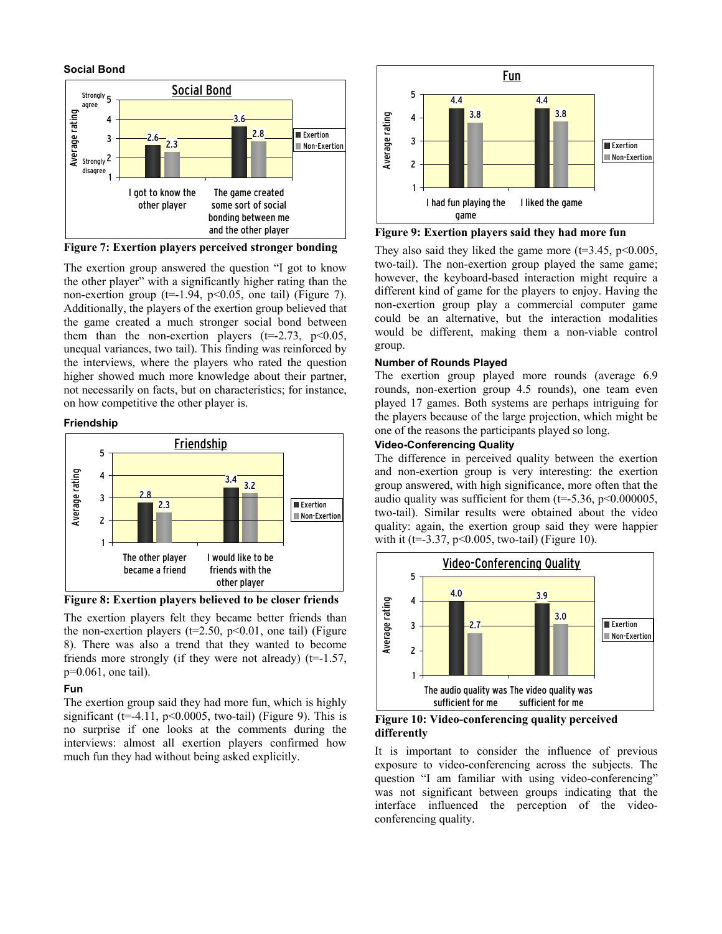

**Figure 7: Exertion players perceived stronger bonding** 

The exertion group answered the question "I got to know the other player" with a significantly higher rating than the non-exertion group ( $t=1.94$ ,  $p<0.05$ , one tail) (Figure 7). Additionally, the players of the exertion group believed that the game created a much stronger social bond between them than the non-exertion players  $(t=2.73, p<0.05,$ unequal variances, two tail). This finding was reinforced by the interviews, where the players who rated the question higher showed much more knowledge about their partner, not necessarily on facts, but on characteristics; for instance, on how competitive the other player is.

#### **Friendship**



**Figure 8: Exertion players believed to be closer friends**

The exertion players felt they became better friends than the non-exertion players ( $t=2.50$ ,  $p<0.01$ , one tail) (Figure 8). There was also a trend that they wanted to become friends more strongly (if they were not already) ( $t=1.57$ , p=0.061, one tail).

#### **Fun**

The exertion group said they had more fun, which is highly significant ( $t=4.11$ ,  $p<0.0005$ , two-tail) (Figure 9). This is no surprise if one looks at the comments during the interviews: almost all exertion players confirmed how much fun they had without being asked explicitly.



**Figure 9: Exertion players said they had more fun** 

They also said they liked the game more  $(t=3.45, p<0.005,$ two-tail). The non-exertion group played the same game; however, the keyboard-based interaction might require a different kind of game for the players to enjoy. Having the non-exertion group play a commercial computer game could be an alternative, but the interaction modalities would be different, making them a non-viable control group.

#### **Number of Rounds Played**

The exertion group played more rounds (average 6.9 rounds, non-exertion group 4.5 rounds), one team even played 17 games. Both systems are perhaps intriguing for the players because of the large projection, which might be one of the reasons the participants played so long.

#### **Video-Conferencing Quality**

The difference in perceived quality between the exertion and non-exertion group is very interesting: the exertion group answered, with high significance, more often that the audio quality was sufficient for them  $(t=5.36, p<0.000005,$ two-tail). Similar results were obtained about the video quality: again, the exertion group said they were happier with it ( $t=3.37$ ,  $p<0.005$ , two-tail) (Figure 10).



#### **Figure 10: Video-conferencing quality perceived differently**

It is important to consider the influence of previous exposure to video-conferencing across the subjects. The question "I am familiar with using video-conferencing" was not significant between groups indicating that the interface influenced the perception of the videoconferencing quality.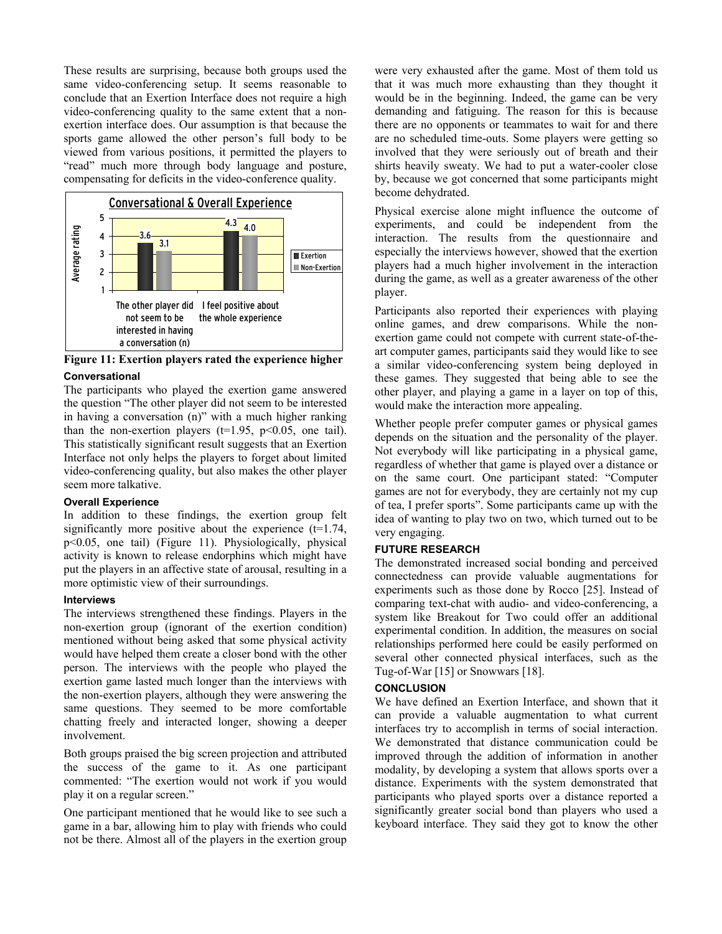These results are surprising, because both groups used the same video-conferencing setup. It seems reasonable to conclude that an Exertion Interface does not require a high video-conferencing quality to the same extent that a nonexertion interface does. Our assumption is that because the sports game allowed the other person's full body to be viewed from various positions, it permitted the players to "read" much more through body language and posture, compensating for deficits in the video-conference quality.



**Figure 11: Exertion players rated the experience higher**

# **Conversational**

The participants who played the exertion game answered the question "The other player did not seem to be interested in having a conversation (n)" with a much higher ranking than the non-exertion players  $(t=1.95, p<0.05,$  one tail). This statistically significant result suggests that an Exertion Interface not only helps the players to forget about limited video-conferencing quality, but also makes the other player seem more talkative.

## **Overall Experience**

In addition to these findings, the exertion group felt significantly more positive about the experience  $(t=1.74)$ , p<0.05, one tail) (Figure 11). Physiologically, physical activity is known to release endorphins which might have put the players in an affective state of arousal, resulting in a more optimistic view of their surroundings.

#### **Interviews**

The interviews strengthened these findings. Players in the non-exertion group (ignorant of the exertion condition) mentioned without being asked that some physical activity would have helped them create a closer bond with the other person. The interviews with the people who played the exertion game lasted much longer than the interviews with the non-exertion players, although they were answering the same questions. They seemed to be more comfortable chatting freely and interacted longer, showing a deeper involvement.

Both groups praised the big screen projection and attributed the success of the game to it. As one participant commented: "The exertion would not work if you would play it on a regular screen."

One participant mentioned that he would like to see such a game in a bar, allowing him to play with friends who could not be there. Almost all of the players in the exertion group were very exhausted after the game. Most of them told us that it was much more exhausting than they thought it would be in the beginning. Indeed, the game can be very demanding and fatiguing. The reason for this is because there are no opponents or teammates to wait for and there are no scheduled time-outs. Some players were getting so involved that they were seriously out of breath and their shirts heavily sweaty. We had to put a water-cooler close by, because we got concerned that some participants might become dehydrated.

Physical exercise alone might influence the outcome of experiments, and could be independent from the interaction. The results from the questionnaire and especially the interviews however, showed that the exertion players had a much higher involvement in the interaction during the game, as well as a greater awareness of the other player.

Participants also reported their experiences with playing online games, and drew comparisons. While the nonexertion game could not compete with current state-of-theart computer games, participants said they would like to see a similar video-conferencing system being deployed in these games. They suggested that being able to see the other player, and playing a game in a layer on top of this, would make the interaction more appealing.

Whether people prefer computer games or physical games depends on the situation and the personality of the player. Not everybody will like participating in a physical game, regardless of whether that game is played over a distance or on the same court. One participant stated: "Computer games are not for everybody, they are certainly not my cup of tea, I prefer sports". Some participants came up with the idea of wanting to play two on two, which turned out to be very engaging.

#### **FUTURE RESEARCH**

The demonstrated increased social bonding and perceived connectedness can provide valuable augmentations for experiments such as those done by Rocco [25]. Instead of comparing text-chat with audio- and video-conferencing, a system like Breakout for Two could offer an additional experimental condition. In addition, the measures on social relationships performed here could be easily performed on several other connected physical interfaces, such as the Tug-of-War [15] or Snowwars [18].

# **CONCLUSION**

We have defined an Exertion Interface, and shown that it can provide a valuable augmentation to what current interfaces try to accomplish in terms of social interaction. We demonstrated that distance communication could be improved through the addition of information in another modality, by developing a system that allows sports over a distance. Experiments with the system demonstrated that participants who played sports over a distance reported a significantly greater social bond than players who used a keyboard interface. They said they got to know the other